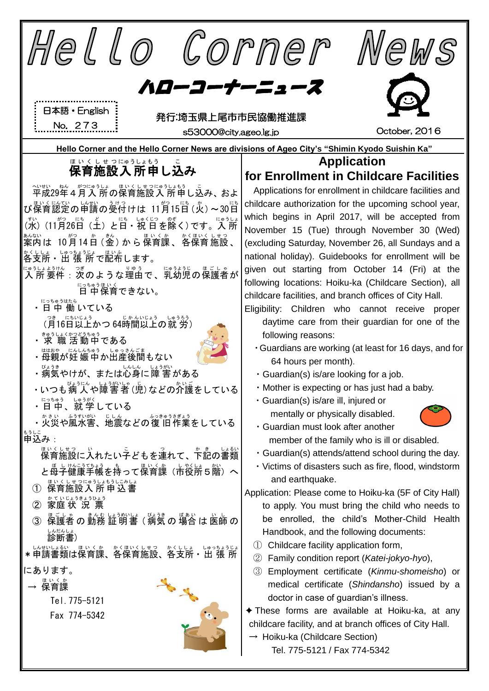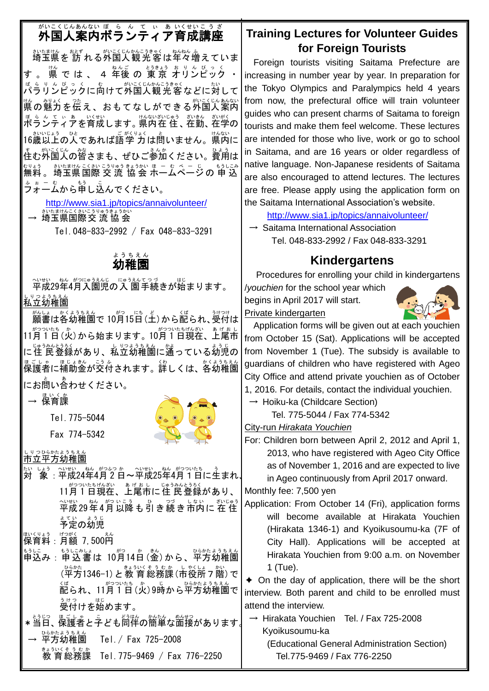# がいこくじんぁんない ぼ、ら、ん、て、い、あ いくせいこうざ<br>**外国人案内ボランティア育成講座**

埼玉県 さいたまけん を 訪 おとず れる外国人 がいこくじん 観光客 かんこうきゃく は年々 ねんねん 増 ふ えていま す 。 <sup>快</sup> で は 、 4年後 の 東京 オリンピック ・ ぱらり~ぴっくに向けて外国人観 光 客などに対して <sub>は。 ジャ</sub>、<br>県の魅力を伝え、おもてなしができる外国人案内 『もるとていま』以称、あないない。。 さいきん さいがく<br>**ボランティアを育成します。県内在 住、在勤、在学の** \_ ホミハヒヒょう o してあれば語学 力は問いません。県内に すむが<u>こく</u>しん。<br>住む外国人の皆さまも、ぜひご参加ください。費用は ホッょぅ。 ホハムまサム ニくネル コラリェラ ルョ カホ ミ ー ホ マ ー ー ゙ ヘ ー ー ホラ レニみ 。。。<br>フォームから申し込んでください。

<http://www.sia1.jp/topics/annaivolunteer/>

→ 埼玉県国際交 流 協 会

Tel.048-833-2992 / Fax 048-833-3291

#### 幼稚園 ようちえん

平成 へいせい 29年 ねん 4月 がつ 入園児 にゅうえんじ の入 園 にゅうえん 手続 てつづ きが始 はじ まります。 私立 しりつ 幼稚園 ようちえん

願書 がんしょ は各幼稚園 かくようちえん で 10月 がつ 15日 にち (土 ど )から配 くば られ、受付 うけつけ は 11月 がつ 1 つい 日 たち (火 か )から始まります。10月 がつ 1 つい 日 たち 現在 げんざい 、上尾市 あげおし にはうみんにうるく、しゃいうまん<br>に住 民登録があり、私立幼稚園に通っている幼児の 保護者 ほごしゃ に補助 ほじょ 金 きん が交 こう 付 ふ されます。詳 くわ しくは、各幼稚園 かくようちえん にお問い合わせください。

→ 保育課 ほいくか

Tel.775-5044

Fax 774-5342

しりっぴ。ホたよぅぉぇん<br>**市立平方幼稚園** 

<u>たいしょう。へいせい、おんがつっ</u>いたも、う<br>対 象 : 平成24年4月2日~平成25年4月1日に生まれ、 11月1日現在、上尾市に住 民登録があり、 平成 へいせい 29年 ねん 4月 がつ 以降 いこう も引 ひ き続 つづ き市内 しない に 在 住 ざいじゅう ょ<sub>てい</sub><br>予定の幼児

<sub>ばくりょう</sub> <sub>げっがく</sub><br>保育料:月額 7,500円

もうに。<br>申込み : 申込書は 10月14日(金)から、平方幼稚園 (≌梵1346-1)と教育総務課(市役所ァ階)で 、<sub>ば られ 、11月1日 (火) 9時から平方幼稚園で</sub> ぅゖっ ぱじ<br>**受付けを始めます。** 

\* 当日、保護者と子ども同伴の簡単な面接があります。 → 平方 ひらかた 幼稚園 ようちえん Tel./ Fax 725-2008

ま<sub>まういくそう むか<br>教育総務課 Tel.775-9469 / Fax 776-2250</sub>

### **Training Lectures for Volunteer Guides for Foreign Tourists**

Foreign tourists visiting Saitama Prefecture are increasing in number year by year. In preparation for the Tokyo Olympics and Paralympics held 4 years from now, the prefectural office will train volunteer guides who can present charms of Saitama to foreign tourists and make them feel welcome. These lectures are intended for those who live, work or go to school in Saitama, and are 16 years or older regardless of native language. Non-Japanese residents of Saitama are also encouraged to attend lectures. The lectures are free. Please apply using the application form on the Saitama International Association's website.

<http://www.sia1.jp/topics/annaivolunteer/>

 $\rightarrow$  Saitama International Association Tel. 048-833-2992 / Fax 048-833-3291

### **Kindergartens**

Procedures for enrolling your child in kindergartens /*youchien* for the school year which

begins in April 2017 will start. Private kindergarten



Application forms will be given out at each youchien from October 15 (Sat). Applications will be accepted from November 1 (Tue). The subsidy is available to guardians of children who have registered with Ageo City Office and attend private youchien as of October 1, 2016. For details, contact the individual youchien.

 $\rightarrow$  Hoiku-ka (Childcare Section)

Tel. 775-5044 / Fax 774-5342

City-run *Hirakata Youchien*

For: Children born between April 2, 2012 and April 1, 2013, who have registered with Ageo City Office as of November 1, 2016 and are expected to live in Ageo continuously from April 2017 onward.

Monthly fee: 7,500 yen

Application: From October 14 (Fri), application forms will become available at Hirakata Youchien (Hirakata 1346-1) and Kyoikusoumu-ka (7F of City Hall). Applications will be accepted at Hirakata Youchien from 9:00 a.m. on November 1 (Tue).

✦ On the day of application, there will be the short interview. Both parent and child to be enrolled must attend the interview.

→ Hirakata Youchien Tel. / Fax 725-2008 Kyoikusoumu-ka

(Educational General Administration Section) Tel.775-9469 / Fax 776-2250

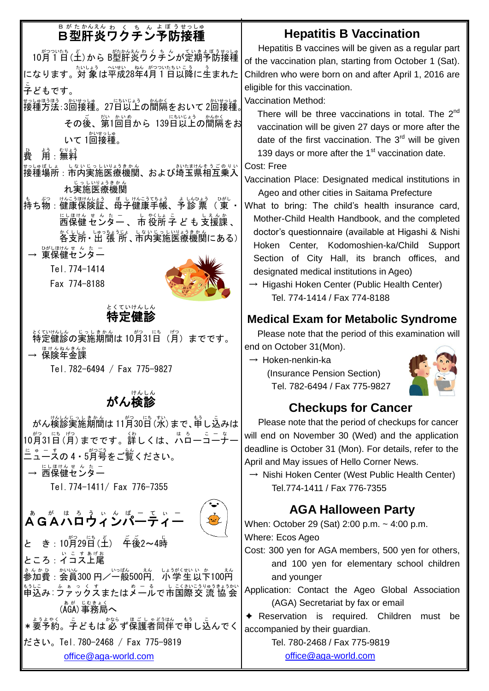# 。<br>8型肝炎ワクチン予防接種

## **Hepatitis B Vaccination**

10月1日 (土) から B型肝炎ウクチンが定期予防接種 になります。対 象は平成28年4月1日以降に生まれた 子 こ どもです。 #3は時期 : 3回接種。27日以上の間隔をおいて 2回接種。

その後、第1回目から 139日以上の間隔をお いて 1回接種。

費 ひ 用:無料 よう むりょう

- 接種 せっしゅ 場所 ばしょ :市内 しない 実施 じっし 医療 いりょう 機関 きかん 、および埼玉県 さいたまけん 相互 そうご 乗入 のりい 、<sub>じっしいりょうきかん</sub><br>れ実施医療機関
- もち物:健康保険証、母子健康手帳、予診 票( 東 ・ にしほけん せ ん た ー 、 ト 衫 Lis こ<br>西保健 センター 、 市 役所 子 ど も 支援課 、 <u>☆</u>くしょ。しゅっちょうじょ。しいりょうきかん<br>各支所・出 張 所 、市内実施医療機関にある)│
- <sup>びじほけんせ んたー<br>→ 東保健センター</sup>

Tel.774-1414

Fax 774-8188



## をくていけんしん<br>**特定健診**

↓く<del>ていんし。</del> しっしまかん<br>特定健診の実施期間は 10月31日(月)までです。 — <sup>ほけんねんきんか</sup>

Tel.782-6494 / Fax 775-9827

#### 。<br>がん検診 e<br>S

がん検診実施期間は 11月30日 (水) まで、申し込みは 10月31日(月)までです。詳しくは、ハローコーナー 二 に ☆ - す<br>ュースの4・5月号をご覧ください。 → 远保健センター Tel.774-1411/ Fax 776-7355 ゟ゙゚゚゚゚゚゚゚ゟゕ゙゚ゖ゚゙ヿヿ゚ゕヿ゚゚゚゚゚゠゠゙ゕヿ



Hepatitis B vaccines will be given as a regular part of the vaccination plan, starting from October 1 (Sat). Children who were born on and after April 1, 2016 are eligible for this vaccination.

Vaccination Method:

There will be three vaccinations in total. The 2<sup>nd</sup> vaccination will be given 27 days or more after the date of the first vaccination. The  $3<sup>rd</sup>$  will be given 139 days or more after the  $1<sup>st</sup>$  vaccination date.

Cost: Free

Vaccination Place: Designated medical institutions in Ageo and other cities in Saitama Prefecture

- What to bring: The child's health insurance card, Mother-Child Health Handbook, and the completed doctor's questionnaire (available at Higashi & Nishi Hoken Center, Kodomoshien-ka/Child Support Section of City Hall, its branch offices, and designated medical institutions in Ageo)
	- $\rightarrow$  Higashi Hoken Center (Public Health Center) Tel. 774-1414 / Fax 774-8188

## **Medical Exam for Metabolic Syndrome**

Please note that the period of this examination will end on October 31(Mon).

 $\rightarrow$  Hoken-nenkin-ka (Insurance Pension Section)

Tel. 782-6494 / Fax 775-9827



## **Checkups for Cancer**

Please note that the period of checkups for cancer will end on November 30 (Wed) and the application deadline is October 31 (Mon). For details, refer to the April and May issues of Hello Corner News.

 $\rightarrow$  Nishi Hoken Center (West Public Health Center) Tel.774-1411 / Fax 776-7355

## **AGA Halloween Party**

When: October 29 (Sat) 2:00 p.m. ~ 4:00 p.m. Where: Ecos Ageo

Cost: 300 yen for AGA members, 500 yen for others, and 100 yen for elementary school children and younger

Application: Contact the Ageo Global Association (AGA) Secretariat by fax or email

✦ Reservation is required. Children must be accompanied by their guardian.

Tel. 780-2468 / Fax 775-9819

[office@aga-world.com](mailto:office@aga-world.com)